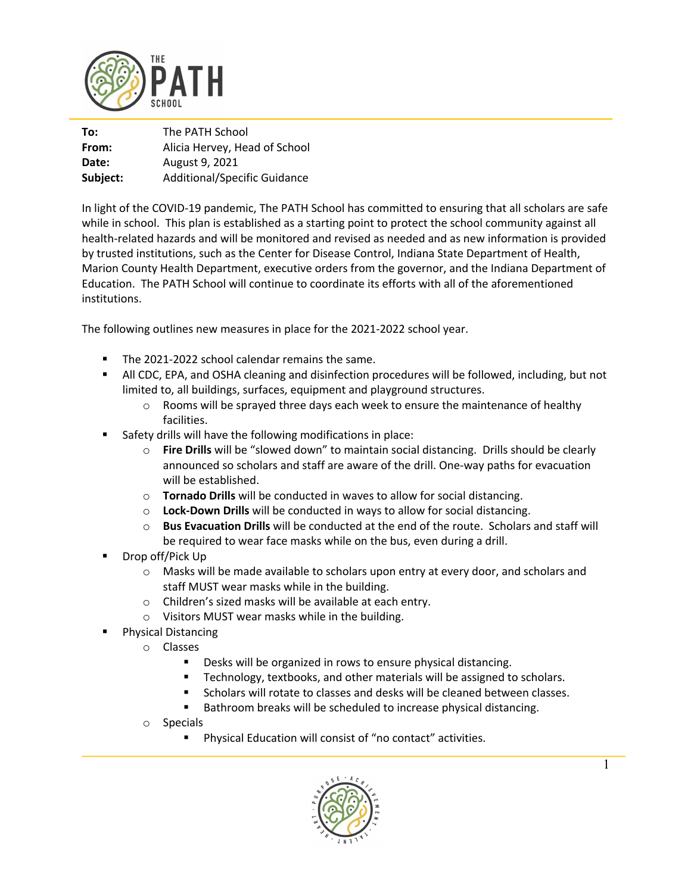

| To:      | The PATH School                     |
|----------|-------------------------------------|
| From:    | Alicia Hervey, Head of School       |
| Date:    | August 9, 2021                      |
| Subject: | <b>Additional/Specific Guidance</b> |

In light of the COVID-19 pandemic, The PATH School has committed to ensuring that all scholars are safe while in school. This plan is established as a starting point to protect the school community against all health-related hazards and will be monitored and revised as needed and as new information is provided by trusted institutions, such as the Center for Disease Control, Indiana State Department of Health, Marion County Health Department, executive orders from the governor, and the Indiana Department of Education. The PATH School will continue to coordinate its efforts with all of the aforementioned institutions.

The following outlines new measures in place for the 2021-2022 school year.

- The 2021-2022 school calendar remains the same.
- **All CDC, EPA, and OSHA cleaning and disinfection procedures will be followed, including, but not** limited to, all buildings, surfaces, equipment and playground structures.
	- $\circ$  Rooms will be sprayed three days each week to ensure the maintenance of healthy facilities.
- Safety drills will have the following modifications in place:
	- o **Fire Drills** will be "slowed down" to maintain social distancing. Drills should be clearly announced so scholars and staff are aware of the drill. One-way paths for evacuation will be established.
	- o **Tornado Drills** will be conducted in waves to allow for social distancing.
	- o **Lock-Down Drills** will be conducted in ways to allow for social distancing.
	- o **Bus Evacuation Drills** will be conducted at the end of the route. Scholars and staff will be required to wear face masks while on the bus, even during a drill.
- § Drop off/Pick Up
	- o Masks will be made available to scholars upon entry at every door, and scholars and staff MUST wear masks while in the building.
	- o Children's sized masks will be available at each entry.
	- o Visitors MUST wear masks while in the building.
- Physical Distancing
	- o Classes
		- Desks will be organized in rows to ensure physical distancing.
		- Technology, textbooks, and other materials will be assigned to scholars.
		- § Scholars will rotate to classes and desks will be cleaned between classes.
		- Bathroom breaks will be scheduled to increase physical distancing.
	- o Specials
		- Physical Education will consist of "no contact" activities.

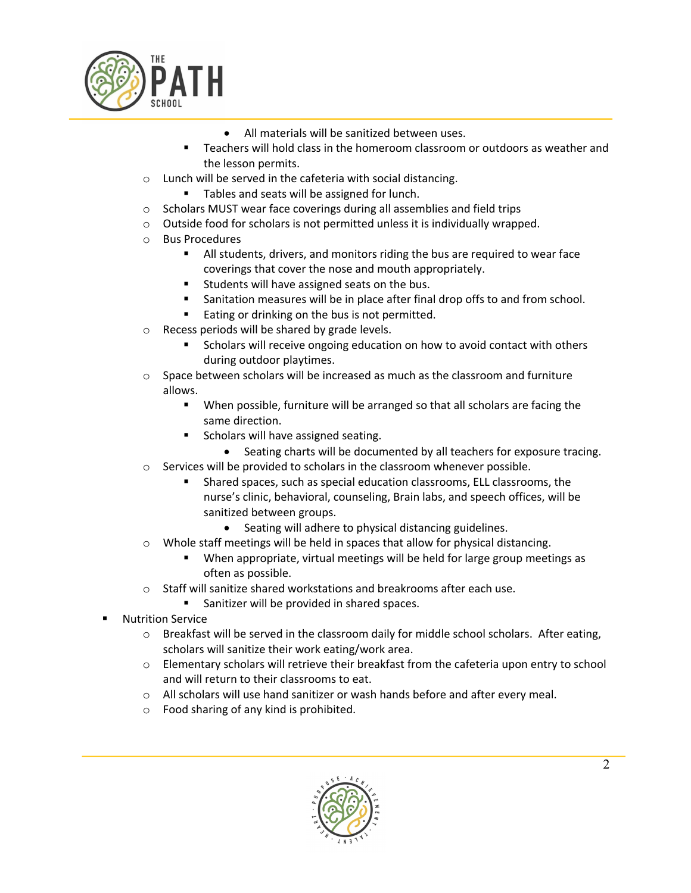

- All materials will be sanitized between uses.
- § Teachers will hold class in the homeroom classroom or outdoors as weather and the lesson permits.
- o Lunch will be served in the cafeteria with social distancing.
	- Tables and seats will be assigned for lunch.
- o Scholars MUST wear face coverings during all assemblies and field trips
- o Outside food for scholars is not permitted unless it is individually wrapped.
- o Bus Procedures
	- All students, drivers, and monitors riding the bus are required to wear face coverings that cover the nose and mouth appropriately.
	- **EXECTE:** Students will have assigned seats on the bus.
	- Sanitation measures will be in place after final drop offs to and from school.
	- Eating or drinking on the bus is not permitted.
- o Recess periods will be shared by grade levels.
	- § Scholars will receive ongoing education on how to avoid contact with others during outdoor playtimes.
- $\circ$  Space between scholars will be increased as much as the classroom and furniture allows.
	- When possible, furniture will be arranged so that all scholars are facing the same direction.
	- Scholars will have assigned seating.
		- Seating charts will be documented by all teachers for exposure tracing.
- o Services will be provided to scholars in the classroom whenever possible.
	- § Shared spaces, such as special education classrooms, ELL classrooms, the nurse's clinic, behavioral, counseling, Brain labs, and speech offices, will be sanitized between groups.
		- Seating will adhere to physical distancing guidelines.
- o Whole staff meetings will be held in spaces that allow for physical distancing.
	- When appropriate, virtual meetings will be held for large group meetings as often as possible.
- o Staff will sanitize shared workstations and breakrooms after each use.
	- Sanitizer will be provided in shared spaces.
- § Nutrition Service
	- $\circ$  Breakfast will be served in the classroom daily for middle school scholars. After eating, scholars will sanitize their work eating/work area.
	- o Elementary scholars will retrieve their breakfast from the cafeteria upon entry to school and will return to their classrooms to eat.
	- o All scholars will use hand sanitizer or wash hands before and after every meal.
	- o Food sharing of any kind is prohibited.

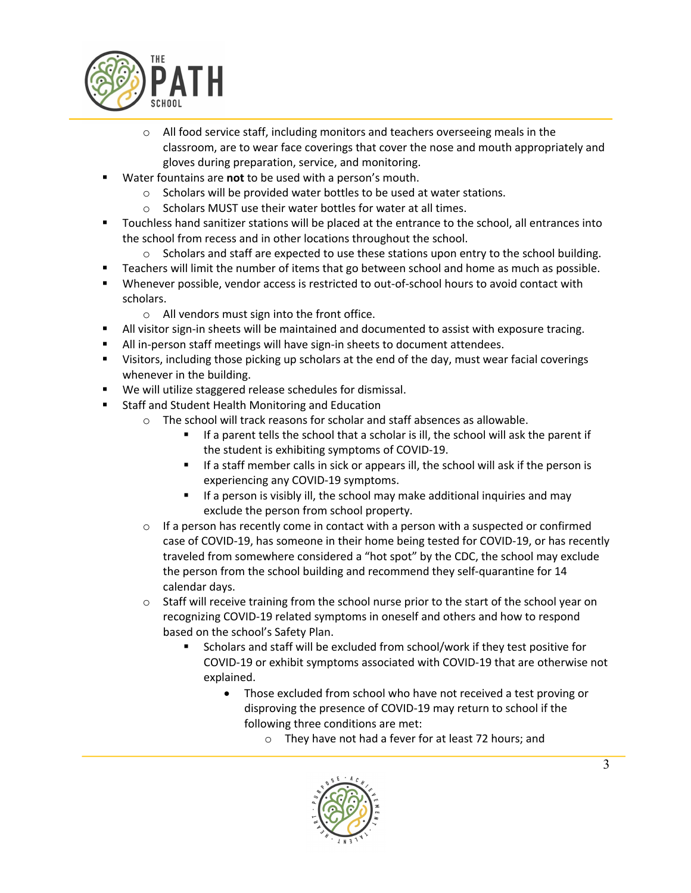

- $\circ$  All food service staff, including monitors and teachers overseeing meals in the classroom, are to wear face coverings that cover the nose and mouth appropriately and gloves during preparation, service, and monitoring.
- § Water fountains are **not** to be used with a person's mouth.
	- o Scholars will be provided water bottles to be used at water stations.
	- o Scholars MUST use their water bottles for water at all times.
- Touchless hand sanitizer stations will be placed at the entrance to the school, all entrances into the school from recess and in other locations throughout the school.
	- $\circ$  Scholars and staff are expected to use these stations upon entry to the school building.
- § Teachers will limit the number of items that go between school and home as much as possible.
- § Whenever possible, vendor access is restricted to out-of-school hours to avoid contact with scholars.
	- o All vendors must sign into the front office.
- **•** All visitor sign-in sheets will be maintained and documented to assist with exposure tracing.
- All in-person staff meetings will have sign-in sheets to document attendees.
- § Visitors, including those picking up scholars at the end of the day, must wear facial coverings whenever in the building.
- We will utilize staggered release schedules for dismissal.
- Staff and Student Health Monitoring and Education
	- o The school will track reasons for scholar and staff absences as allowable.
		- If a parent tells the school that a scholar is ill, the school will ask the parent if the student is exhibiting symptoms of COVID-19.
		- If a staff member calls in sick or appears ill, the school will ask if the person is experiencing any COVID-19 symptoms.
		- If a person is visibly ill, the school may make additional inquiries and may exclude the person from school property.
	- $\circ$  If a person has recently come in contact with a person with a suspected or confirmed case of COVID-19, has someone in their home being tested for COVID-19, or has recently traveled from somewhere considered a "hot spot" by the CDC, the school may exclude the person from the school building and recommend they self-quarantine for 14 calendar days.
	- o Staff will receive training from the school nurse prior to the start of the school year on recognizing COVID-19 related symptoms in oneself and others and how to respond based on the school's Safety Plan.
		- § Scholars and staff will be excluded from school/work if they test positive for COVID-19 or exhibit symptoms associated with COVID-19 that are otherwise not explained.
			- Those excluded from school who have not received a test proving or disproving the presence of COVID-19 may return to school if the following three conditions are met:
				- o They have not had a fever for at least 72 hours; and

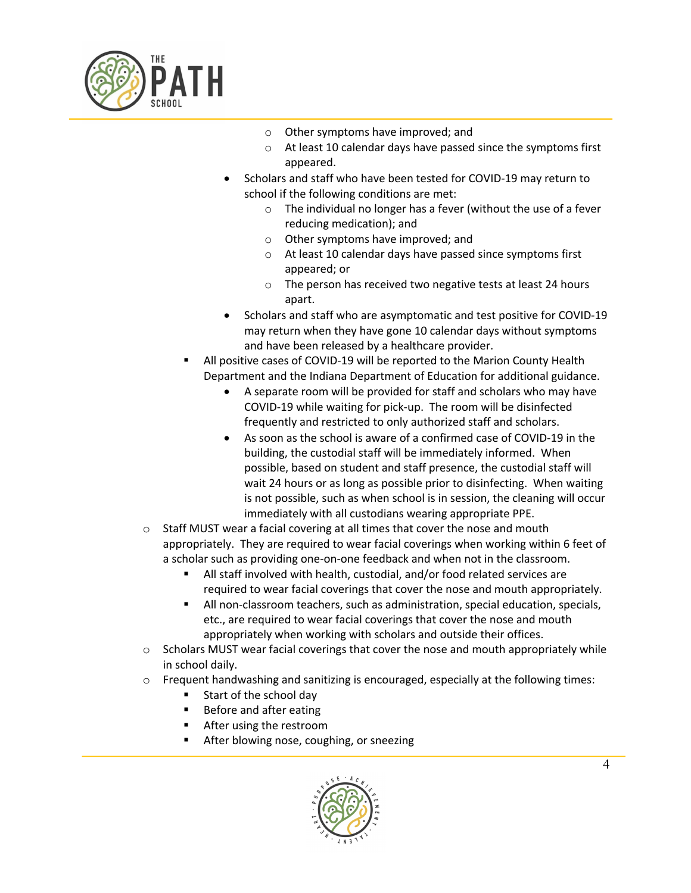

- o Other symptoms have improved; and
- o At least 10 calendar days have passed since the symptoms first appeared.
- Scholars and staff who have been tested for COVID-19 may return to school if the following conditions are met:
	- $\circ$  The individual no longer has a fever (without the use of a fever reducing medication); and
	- o Other symptoms have improved; and
	- o At least 10 calendar days have passed since symptoms first appeared; or
	- o The person has received two negative tests at least 24 hours apart.
- Scholars and staff who are asymptomatic and test positive for COVID-19 may return when they have gone 10 calendar days without symptoms and have been released by a healthcare provider.
- All positive cases of COVID-19 will be reported to the Marion County Health Department and the Indiana Department of Education for additional guidance.
	- A separate room will be provided for staff and scholars who may have COVID-19 while waiting for pick-up. The room will be disinfected frequently and restricted to only authorized staff and scholars.
	- As soon as the school is aware of a confirmed case of COVID-19 in the building, the custodial staff will be immediately informed. When possible, based on student and staff presence, the custodial staff will wait 24 hours or as long as possible prior to disinfecting. When waiting is not possible, such as when school is in session, the cleaning will occur immediately with all custodians wearing appropriate PPE.
- o Staff MUST wear a facial covering at all times that cover the nose and mouth appropriately. They are required to wear facial coverings when working within 6 feet of a scholar such as providing one-on-one feedback and when not in the classroom.
	- All staff involved with health, custodial, and/or food related services are required to wear facial coverings that cover the nose and mouth appropriately.
	- All non-classroom teachers, such as administration, special education, specials, etc., are required to wear facial coverings that cover the nose and mouth appropriately when working with scholars and outside their offices.
- $\circ$  Scholars MUST wear facial coverings that cover the nose and mouth appropriately while in school daily.
- $\circ$  Frequent handwashing and sanitizing is encouraged, especially at the following times:
	- Start of the school day
	- Before and after eating
	- After using the restroom
	- § After blowing nose, coughing, or sneezing

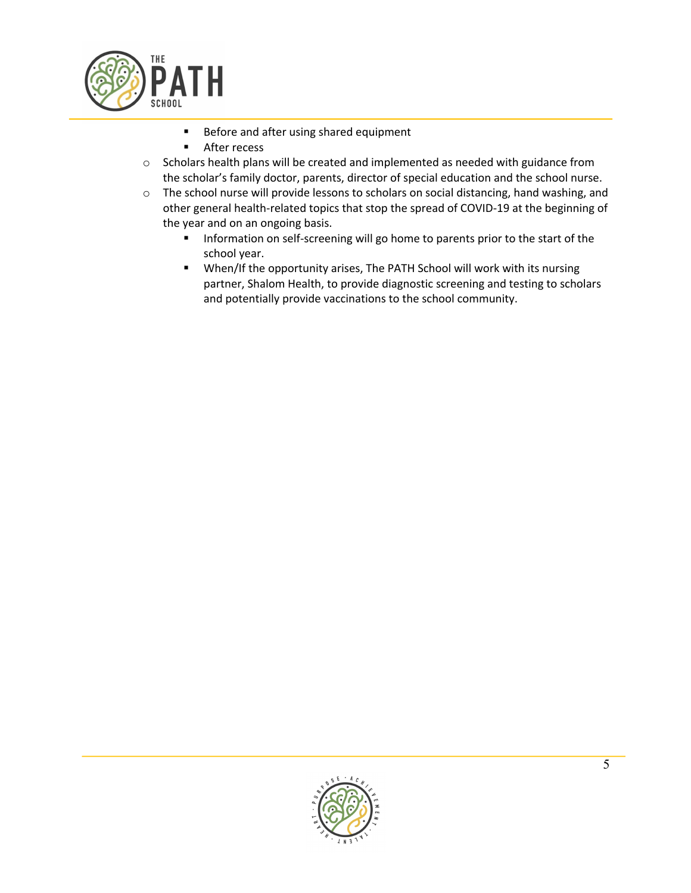

- Before and after using shared equipment
- After recess
- o Scholars health plans will be created and implemented as needed with guidance from the scholar's family doctor, parents, director of special education and the school nurse.
- o The school nurse will provide lessons to scholars on social distancing, hand washing, and other general health-related topics that stop the spread of COVID-19 at the beginning of the year and on an ongoing basis.
	- Information on self-screening will go home to parents prior to the start of the school year.
	- When/If the opportunity arises, The PATH School will work with its nursing partner, Shalom Health, to provide diagnostic screening and testing to scholars and potentially provide vaccinations to the school community.

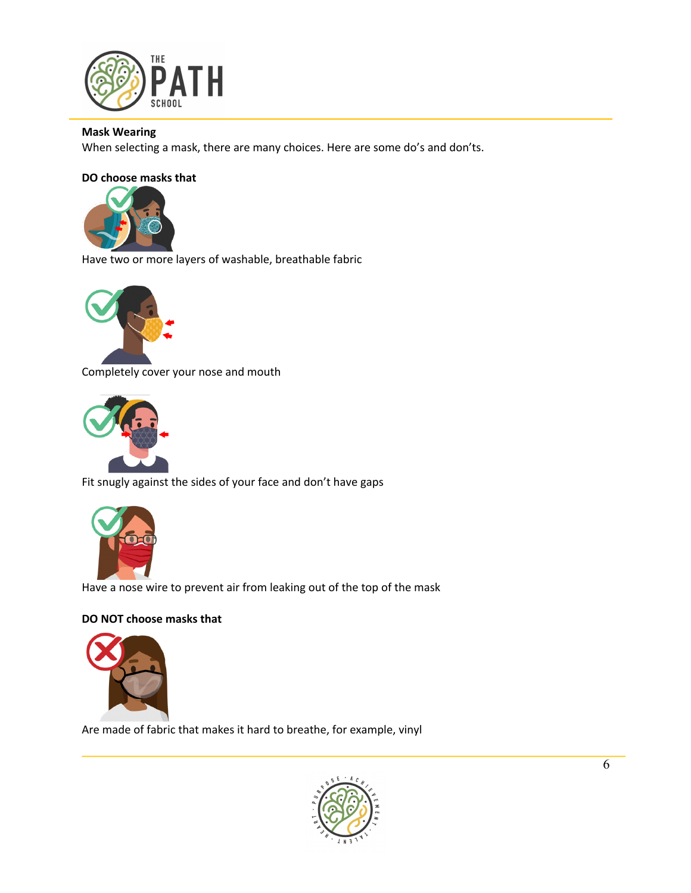

## **Mask Wearing**

When selecting a mask, there are many choices. Here are some do's and don'ts.

## **DO choose masks that**



Have two or more layers of washable, breathable fabric



Completely cover your nose and mouth



Fit snugly against the sides of your face and don't have gaps



Have a nose wire to prevent air from leaking out of the top of the mask

## **DO NOT choose masks that**



Are made of fabric that makes it hard to breathe, for example, vinyl